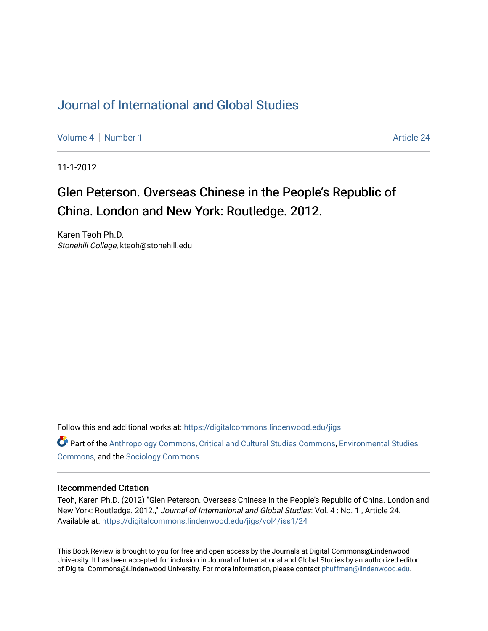## [Journal of International and Global Studies](https://digitalcommons.lindenwood.edu/jigs)

[Volume 4](https://digitalcommons.lindenwood.edu/jigs/vol4) | [Number 1](https://digitalcommons.lindenwood.edu/jigs/vol4/iss1) Article 24

11-1-2012

## Glen Peterson. Overseas Chinese in the People's Republic of China. London and New York: Routledge. 2012.

Karen Teoh Ph.D. Stonehill College, kteoh@stonehill.edu

Follow this and additional works at: [https://digitalcommons.lindenwood.edu/jigs](https://digitalcommons.lindenwood.edu/jigs?utm_source=digitalcommons.lindenwood.edu%2Fjigs%2Fvol4%2Fiss1%2F24&utm_medium=PDF&utm_campaign=PDFCoverPages) 

**C** Part of the [Anthropology Commons](http://network.bepress.com/hgg/discipline/318?utm_source=digitalcommons.lindenwood.edu%2Fjigs%2Fvol4%2Fiss1%2F24&utm_medium=PDF&utm_campaign=PDFCoverPages), [Critical and Cultural Studies Commons](http://network.bepress.com/hgg/discipline/328?utm_source=digitalcommons.lindenwood.edu%2Fjigs%2Fvol4%2Fiss1%2F24&utm_medium=PDF&utm_campaign=PDFCoverPages), Environmental Studies [Commons](http://network.bepress.com/hgg/discipline/1333?utm_source=digitalcommons.lindenwood.edu%2Fjigs%2Fvol4%2Fiss1%2F24&utm_medium=PDF&utm_campaign=PDFCoverPages), and the [Sociology Commons](http://network.bepress.com/hgg/discipline/416?utm_source=digitalcommons.lindenwood.edu%2Fjigs%2Fvol4%2Fiss1%2F24&utm_medium=PDF&utm_campaign=PDFCoverPages)

## Recommended Citation

Teoh, Karen Ph.D. (2012) "Glen Peterson. Overseas Chinese in the People's Republic of China. London and New York: Routledge. 2012.," Journal of International and Global Studies: Vol. 4 : No. 1 , Article 24. Available at: [https://digitalcommons.lindenwood.edu/jigs/vol4/iss1/24](https://digitalcommons.lindenwood.edu/jigs/vol4/iss1/24?utm_source=digitalcommons.lindenwood.edu%2Fjigs%2Fvol4%2Fiss1%2F24&utm_medium=PDF&utm_campaign=PDFCoverPages) 

This Book Review is brought to you for free and open access by the Journals at Digital Commons@Lindenwood University. It has been accepted for inclusion in Journal of International and Global Studies by an authorized editor of Digital Commons@Lindenwood University. For more information, please contact [phuffman@lindenwood.edu](mailto:phuffman@lindenwood.edu).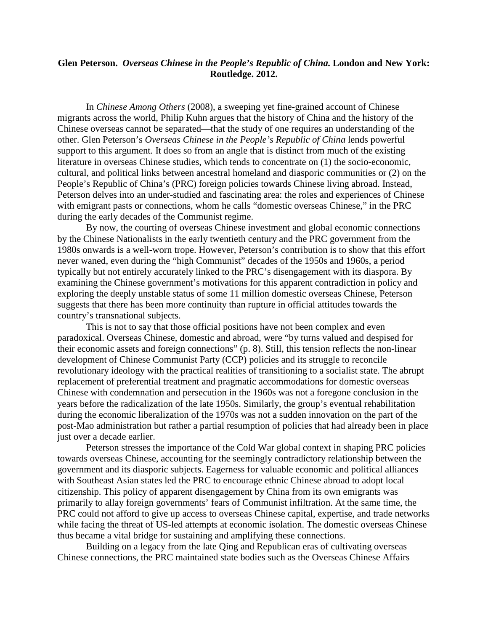## **Glen Peterson.** *Overseas Chinese in the People's Republic of China.* **London and New York: Routledge. 2012.**

In *Chinese Among Others* (2008), a sweeping yet fine-grained account of Chinese migrants across the world, Philip Kuhn argues that the history of China and the history of the Chinese overseas cannot be separated—that the study of one requires an understanding of the other. Glen Peterson's *Overseas Chinese in the People's Republic of China* lends powerful support to this argument. It does so from an angle that is distinct from much of the existing literature in overseas Chinese studies, which tends to concentrate on (1) the socio-economic, cultural, and political links between ancestral homeland and diasporic communities or (2) on the People's Republic of China's (PRC) foreign policies towards Chinese living abroad. Instead, Peterson delves into an under-studied and fascinating area: the roles and experiences of Chinese with emigrant pasts or connections, whom he calls "domestic overseas Chinese," in the PRC during the early decades of the Communist regime.

By now, the courting of overseas Chinese investment and global economic connections by the Chinese Nationalists in the early twentieth century and the PRC government from the 1980s onwards is a well-worn trope. However, Peterson's contribution is to show that this effort never waned, even during the "high Communist" decades of the 1950s and 1960s, a period typically but not entirely accurately linked to the PRC's disengagement with its diaspora. By examining the Chinese government's motivations for this apparent contradiction in policy and exploring the deeply unstable status of some 11 million domestic overseas Chinese, Peterson suggests that there has been more continuity than rupture in official attitudes towards the country's transnational subjects.

This is not to say that those official positions have not been complex and even paradoxical. Overseas Chinese, domestic and abroad, were "by turns valued and despised for their economic assets and foreign connections" (p. 8). Still, this tension reflects the non-linear development of Chinese Communist Party (CCP) policies and its struggle to reconcile revolutionary ideology with the practical realities of transitioning to a socialist state. The abrupt replacement of preferential treatment and pragmatic accommodations for domestic overseas Chinese with condemnation and persecution in the 1960s was not a foregone conclusion in the years before the radicalization of the late 1950s. Similarly, the group's eventual rehabilitation during the economic liberalization of the 1970s was not a sudden innovation on the part of the post-Mao administration but rather a partial resumption of policies that had already been in place just over a decade earlier.

Peterson stresses the importance of the Cold War global context in shaping PRC policies towards overseas Chinese, accounting for the seemingly contradictory relationship between the government and its diasporic subjects. Eagerness for valuable economic and political alliances with Southeast Asian states led the PRC to encourage ethnic Chinese abroad to adopt local citizenship. This policy of apparent disengagement by China from its own emigrants was primarily to allay foreign governments' fears of Communist infiltration. At the same time, the PRC could not afford to give up access to overseas Chinese capital, expertise, and trade networks while facing the threat of US-led attempts at economic isolation. The domestic overseas Chinese thus became a vital bridge for sustaining and amplifying these connections.

Building on a legacy from the late Qing and Republican eras of cultivating overseas Chinese connections, the PRC maintained state bodies such as the Overseas Chinese Affairs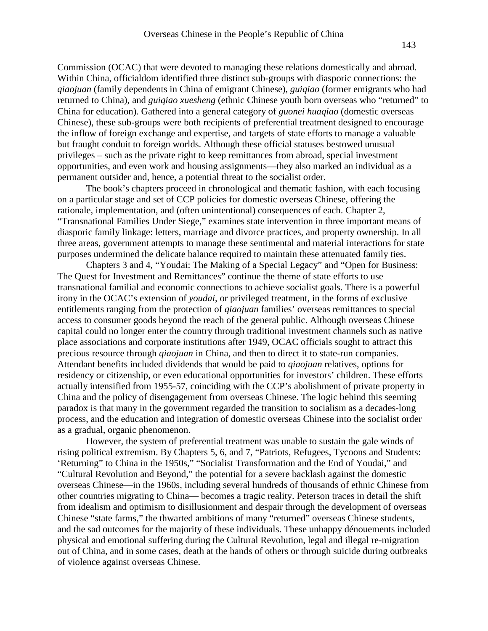Commission (OCAC) that were devoted to managing these relations domestically and abroad. Within China, officialdom identified three distinct sub-groups with diasporic connections: the *qiaojuan* (family dependents in China of emigrant Chinese), *guiqiao* (former emigrants who had returned to China), and *guiqiao xuesheng* (ethnic Chinese youth born overseas who "returned" to China for education). Gathered into a general category of *guonei huaqiao* (domestic overseas Chinese), these sub-groups were both recipients of preferential treatment designed to encourage the inflow of foreign exchange and expertise, and targets of state efforts to manage a valuable but fraught conduit to foreign worlds. Although these official statuses bestowed unusual privileges – such as the private right to keep remittances from abroad, special investment opportunities, and even work and housing assignments—they also marked an individual as a permanent outsider and, hence, a potential threat to the socialist order.

 The book's chapters proceed in chronological and thematic fashion, with each focusing on a particular stage and set of CCP policies for domestic overseas Chinese, offering the rationale, implementation, and (often unintentional) consequences of each. Chapter 2, "Transnational Families Under Siege," examines state intervention in three important means of diasporic family linkage: letters, marriage and divorce practices, and property ownership. In all three areas, government attempts to manage these sentimental and material interactions for state purposes undermined the delicate balance required to maintain these attenuated family ties.

Chapters 3 and 4, "Youdai: The Making of a Special Legacy" and "Open for Business: The Quest for Investment and Remittances" continue the theme of state efforts to use transnational familial and economic connections to achieve socialist goals. There is a powerful irony in the OCAC's extension of *youdai*, or privileged treatment, in the forms of exclusive entitlements ranging from the protection of *qiaojuan* families' overseas remittances to special access to consumer goods beyond the reach of the general public. Although overseas Chinese capital could no longer enter the country through traditional investment channels such as native place associations and corporate institutions after 1949, OCAC officials sought to attract this precious resource through *qiaojuan* in China, and then to direct it to state-run companies. Attendant benefits included dividends that would be paid to *qiaojuan* relatives, options for residency or citizenship, or even educational opportunities for investors' children. These efforts actually intensified from 1955-57, coinciding with the CCP's abolishment of private property in China and the policy of disengagement from overseas Chinese. The logic behind this seeming paradox is that many in the government regarded the transition to socialism as a decades-long process, and the education and integration of domestic overseas Chinese into the socialist order as a gradual, organic phenomenon.

However, the system of preferential treatment was unable to sustain the gale winds of rising political extremism. By Chapters 5, 6, and 7, "Patriots, Refugees, Tycoons and Students: 'Returning" to China in the 1950s," "Socialist Transformation and the End of Youdai," and "Cultural Revolution and Beyond," the potential for a severe backlash against the domestic overseas Chinese—in the 1960s, including several hundreds of thousands of ethnic Chinese from other countries migrating to China— becomes a tragic reality. Peterson traces in detail the shift from idealism and optimism to disillusionment and despair through the development of overseas Chinese "state farms," the thwarted ambitions of many "returned" overseas Chinese students, and the sad outcomes for the majority of these individuals. These unhappy dénouements included physical and emotional suffering during the Cultural Revolution, legal and illegal re-migration out of China, and in some cases, death at the hands of others or through suicide during outbreaks of violence against overseas Chinese.